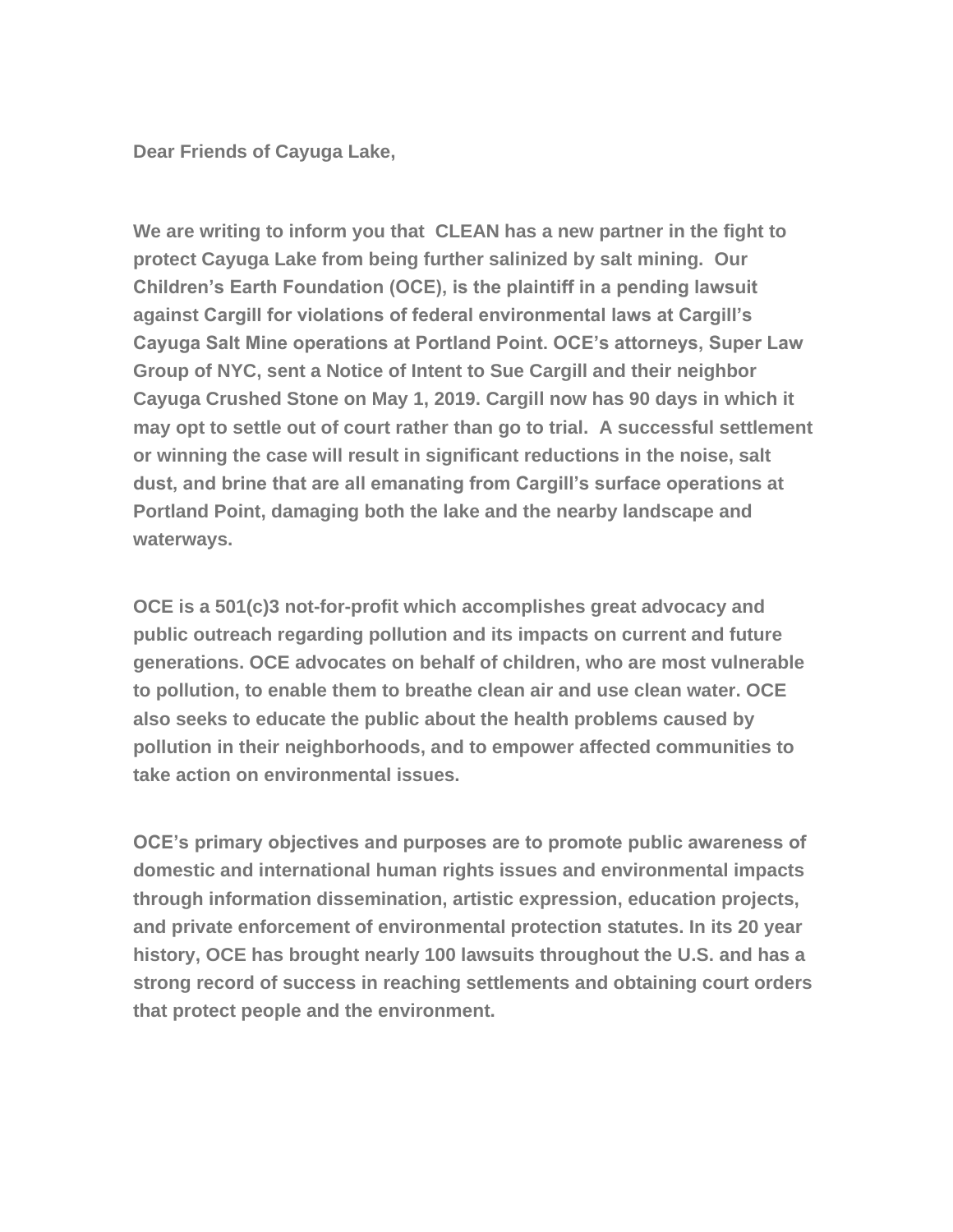**Dear Friends of Cayuga Lake,**

**We are writing to inform you that CLEAN has a new partner in the fight to protect Cayuga Lake from being further salinized by salt mining. Our Children's Earth Foundation (OCE), is the plaintiff in a pending lawsuit against Cargill for violations of federal environmental laws at Cargill's Cayuga Salt Mine operations at Portland Point. OCE's attorneys, Super Law Group of NYC, sent a Notice of Intent to Sue Cargill and their neighbor Cayuga Crushed Stone on May 1, 2019. Cargill now has 90 days in which it may opt to settle out of court rather than go to trial. A successful settlement or winning the case will result in significant reductions in the noise, salt dust, and brine that are all emanating from Cargill's surface operations at Portland Point, damaging both the lake and the nearby landscape and waterways.**

**OCE is a 501(c)3 not-for-profit which accomplishes great advocacy and public outreach regarding pollution and its impacts on current and future generations. OCE advocates on behalf of children, who are most vulnerable to pollution, to enable them to breathe clean air and use clean water. OCE also seeks to educate the public about the health problems caused by pollution in their neighborhoods, and to empower affected communities to take action on environmental issues.**

**OCE's primary objectives and purposes are to promote public awareness of domestic and international human rights issues and environmental impacts through information dissemination, artistic expression, education projects, and private enforcement of environmental protection statutes. In its 20 year history, OCE has brought nearly 100 lawsuits throughout the U.S. and has a strong record of success in reaching settlements and obtaining court orders that protect people and the environment.**